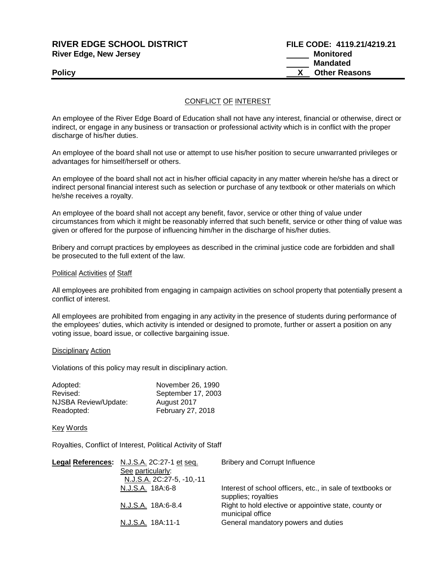# **RIVER EDGE SCHOOL DISTRICT FILE CODE: 4119.21/4219.21 River Edge, New Jersey Monitored Monitored**

 **Mandated Policy CONSERVANTS Policy CONSERVANTS CONSERVANTS X** Other Reasons

### CONFLICT OF INTEREST

An employee of the River Edge Board of Education shall not have any interest, financial or otherwise, direct or indirect, or engage in any business or transaction or professional activity which is in conflict with the proper discharge of his/her duties.

An employee of the board shall not use or attempt to use his/her position to secure unwarranted privileges or advantages for himself/herself or others.

An employee of the board shall not act in his/her official capacity in any matter wherein he/she has a direct or indirect personal financial interest such as selection or purchase of any textbook or other materials on which he/she receives a royalty.

An employee of the board shall not accept any benefit, favor, service or other thing of value under circumstances from which it might be reasonably inferred that such benefit, service or other thing of value was given or offered for the purpose of influencing him/her in the discharge of his/her duties.

Bribery and corrupt practices by employees as described in the criminal justice code are forbidden and shall be prosecuted to the full extent of the law.

#### Political Activities of Staff

All employees are prohibited from engaging in campaign activities on school property that potentially present a conflict of interest.

All employees are prohibited from engaging in any activity in the presence of students during performance of the employees' duties, which activity is intended or designed to promote, further or assert a position on any voting issue, board issue, or collective bargaining issue.

#### Disciplinary Action

Violations of this policy may result in disciplinary action.

| Adopted:             | November 26, 1990  |
|----------------------|--------------------|
| Revised:             | September 17, 2003 |
| NJSBA Review/Update: | August 2017        |
| Readopted:           | February 27, 2018  |

#### Key Words

Royalties, Conflict of Interest, Political Activity of Staff

| Legal References: N.J.S.A. 2C:27-1 et seq.     | <b>Bribery and Corrupt Influence</b>                                              |
|------------------------------------------------|-----------------------------------------------------------------------------------|
| See particularly:<br>N.J.S.A. 2C:27-5, -10,-11 |                                                                                   |
| N.J.S.A. 18A:6-8                               | Interest of school officers, etc., in sale of textbooks or<br>supplies; royalties |
| N.J.S.A. 18A:6-8.4                             | Right to hold elective or appointive state, county or<br>municipal office         |
| N.J.S.A. 18A:11-1                              | General mandatory powers and duties                                               |